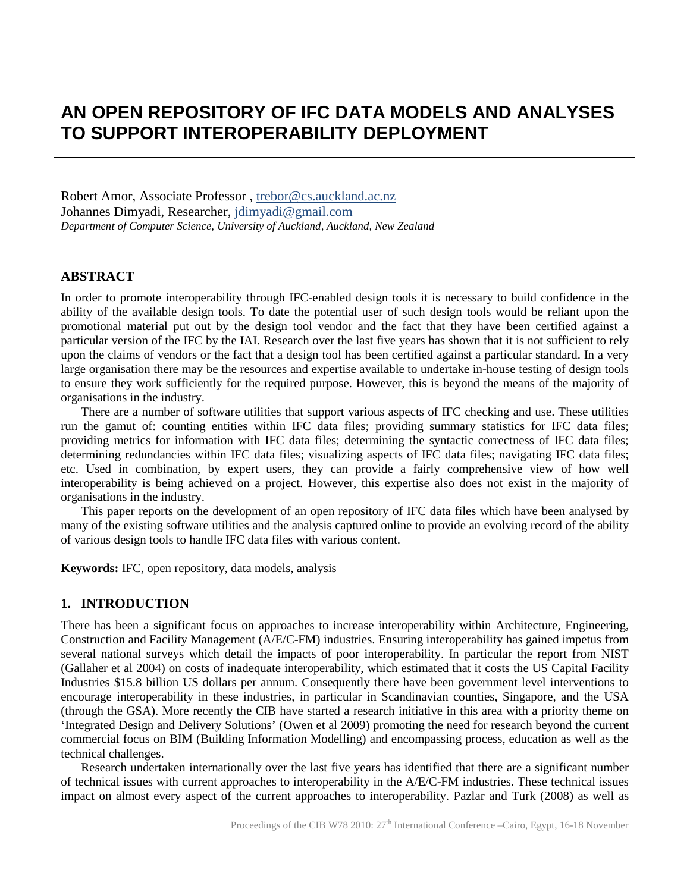# **AN OPEN REPOSITORY OF IFC DATA MODELS AND ANALYSES TO SUPPORT INTEROPERABILITY DEPLOYMENT**

Robert Amor, Associate Professor, [trebor@cs.auckland.ac.nz](mailto:trebor@cs.auckland.ac.nz) Johannes Dimyadi, Researcher, jdimyadi@gmail.com *Department of Computer Science, University of Auckland, Auckland, New Zealand*

#### **ABSTRACT**

In order to promote interoperability through IFC-enabled design tools it is necessary to build confidence in the ability of the available design tools. To date the potential user of such design tools would be reliant upon the promotional material put out by the design tool vendor and the fact that they have been certified against a particular version of the IFC by the IAI. Research over the last five years has shown that it is not sufficient to rely upon the claims of vendors or the fact that a design tool has been certified against a particular standard. In a very large organisation there may be the resources and expertise available to undertake in-house testing of design tools to ensure they work sufficiently for the required purpose. However, this is beyond the means of the majority of organisations in the industry.

There are a number of software utilities that support various aspects of IFC checking and use. These utilities run the gamut of: counting entities within IFC data files; providing summary statistics for IFC data files; providing metrics for information with IFC data files; determining the syntactic correctness of IFC data files; determining redundancies within IFC data files; visualizing aspects of IFC data files; navigating IFC data files; etc. Used in combination, by expert users, they can provide a fairly comprehensive view of how well interoperability is being achieved on a project. However, this expertise also does not exist in the majority of organisations in the industry.

This paper reports on the development of an open repository of IFC data files which have been analysed by many of the existing software utilities and the analysis captured online to provide an evolving record of the ability of various design tools to handle IFC data files with various content.

**Keywords:** IFC, open repository, data models, analysis

#### **1. INTRODUCTION**

There has been a significant focus on approaches to increase interoperability within Architecture, Engineering, Construction and Facility Management (A/E/C-FM) industries. Ensuring interoperability has gained impetus from several national surveys which detail the impacts of poor interoperability. In particular the report from NIST (Gallaher et al 2004) on costs of inadequate interoperability, which estimated that it costs the US Capital Facility Industries \$15.8 billion US dollars per annum. Consequently there have been government level interventions to encourage interoperability in these industries, in particular in Scandinavian counties, Singapore, and the USA (through the GSA). More recently the CIB have started a research initiative in this area with a priority theme on 'Integrated Design and Delivery Solutions' (Owen et al 2009) promoting the need for research beyond the current commercial focus on BIM (Building Information Modelling) and encompassing process, education as well as the technical challenges.

Research undertaken internationally over the last five years has identified that there are a significant number of technical issues with current approaches to interoperability in the A/E/C-FM industries. These technical issues impact on almost every aspect of the current approaches to interoperability. Pazlar and Turk (2008) as well as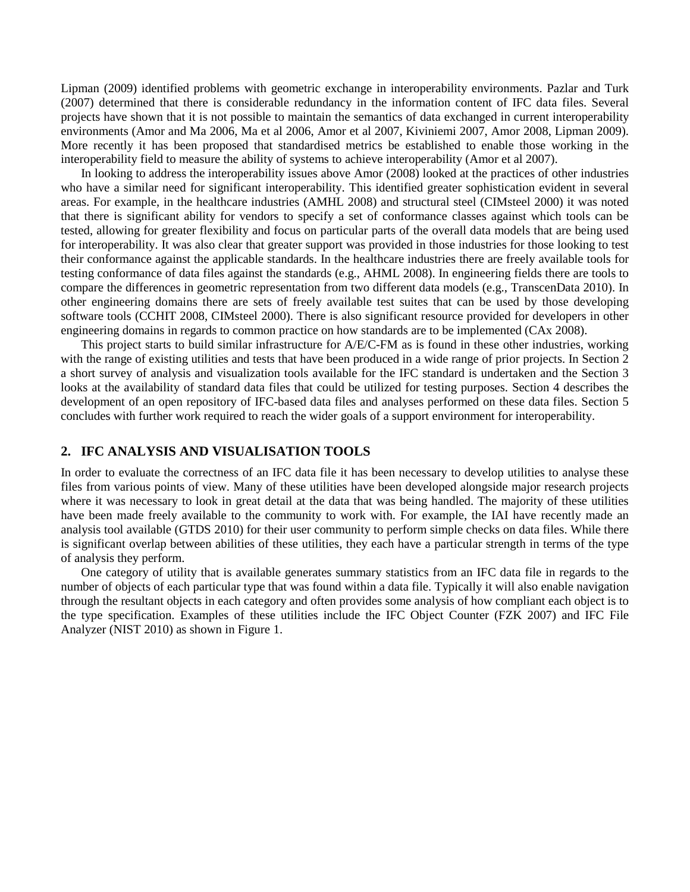Lipman (2009) identified problems with geometric exchange in interoperability environments. Pazlar and Turk (2007) determined that there is considerable redundancy in the information content of IFC data files. Several projects have shown that it is not possible to maintain the semantics of data exchanged in current interoperability environments (Amor and Ma 2006, Ma et al 2006, Amor et al 2007, Kiviniemi 2007, Amor 2008, Lipman 2009). More recently it has been proposed that standardised metrics be established to enable those working in the interoperability field to measure the ability of systems to achieve interoperability (Amor et al 2007).

In looking to address the interoperability issues above Amor (2008) looked at the practices of other industries who have a similar need for significant interoperability. This identified greater sophistication evident in several areas. For example, in the healthcare industries (AMHL 2008) and structural steel (CIMsteel 2000) it was noted that there is significant ability for vendors to specify a set of conformance classes against which tools can be tested, allowing for greater flexibility and focus on particular parts of the overall data models that are being used for interoperability. It was also clear that greater support was provided in those industries for those looking to test their conformance against the applicable standards. In the healthcare industries there are freely available tools for testing conformance of data files against the standards (e.g., AHML 2008). In engineering fields there are tools to compare the differences in geometric representation from two different data models (e.g., TranscenData 2010). In other engineering domains there are sets of freely available test suites that can be used by those developing software tools (CCHIT 2008, CIMsteel 2000). There is also significant resource provided for developers in other engineering domains in regards to common practice on how standards are to be implemented (CAx 2008).

This project starts to build similar infrastructure for A/E/C-FM as is found in these other industries, working with the range of existing utilities and tests that have been produced in a wide range of prior projects. In Section 2 a short survey of analysis and visualization tools available for the IFC standard is undertaken and the Section 3 looks at the availability of standard data files that could be utilized for testing purposes. Section 4 describes the development of an open repository of IFC-based data files and analyses performed on these data files. Section 5 concludes with further work required to reach the wider goals of a support environment for interoperability.

#### **2. IFC ANALYSIS AND VISUALISATION TOOLS**

In order to evaluate the correctness of an IFC data file it has been necessary to develop utilities to analyse these files from various points of view. Many of these utilities have been developed alongside major research projects where it was necessary to look in great detail at the data that was being handled. The majority of these utilities have been made freely available to the community to work with. For example, the IAI have recently made an analysis tool available (GTDS 2010) for their user community to perform simple checks on data files. While there is significant overlap between abilities of these utilities, they each have a particular strength in terms of the type of analysis they perform.

One category of utility that is available generates summary statistics from an IFC data file in regards to the number of objects of each particular type that was found within a data file. Typically it will also enable navigation through the resultant objects in each category and often provides some analysis of how compliant each object is to the type specification. Examples of these utilities include the IFC Object Counter (FZK 2007) and IFC File Analyzer (NIST 2010) as shown in Figure 1.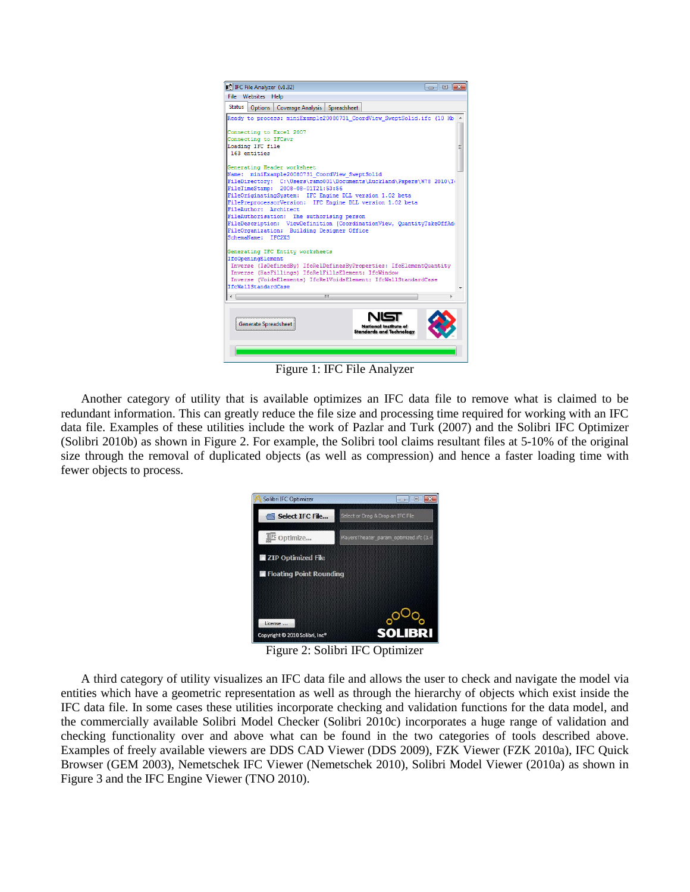

Figure 1: IFC File Analyzer

Another category of utility that is available optimizes an IFC data file to remove what is claimed to be redundant information. This can greatly reduce the file size and processing time required for working with an IFC data file. Examples of these utilities include the work of Pazlar and Turk (2007) and the Solibri IFC Optimizer (Solibri 2010b) as shown in Figure 2. For example, the Solibri tool claims resultant files at 5-10% of the original size through the removal of duplicated objects (as well as compression) and hence a faster loading time with fewer objects to process.



Figure 2: Solibri IFC Optimizer

A third category of utility visualizes an IFC data file and allows the user to check and navigate the model via entities which have a geometric representation as well as through the hierarchy of objects which exist inside the IFC data file. In some cases these utilities incorporate checking and validation functions for the data model, and the commercially available Solibri Model Checker (Solibri 2010c) incorporates a huge range of validation and checking functionality over and above what can be found in the two categories of tools described above. Examples of freely available viewers are DDS CAD Viewer (DDS 2009), FZK Viewer (FZK 2010a), IFC Quick Browser (GEM 2003), Nemetschek IFC Viewer (Nemetschek 2010), Solibri Model Viewer (2010a) as shown in Figure 3 and the IFC Engine Viewer (TNO 2010).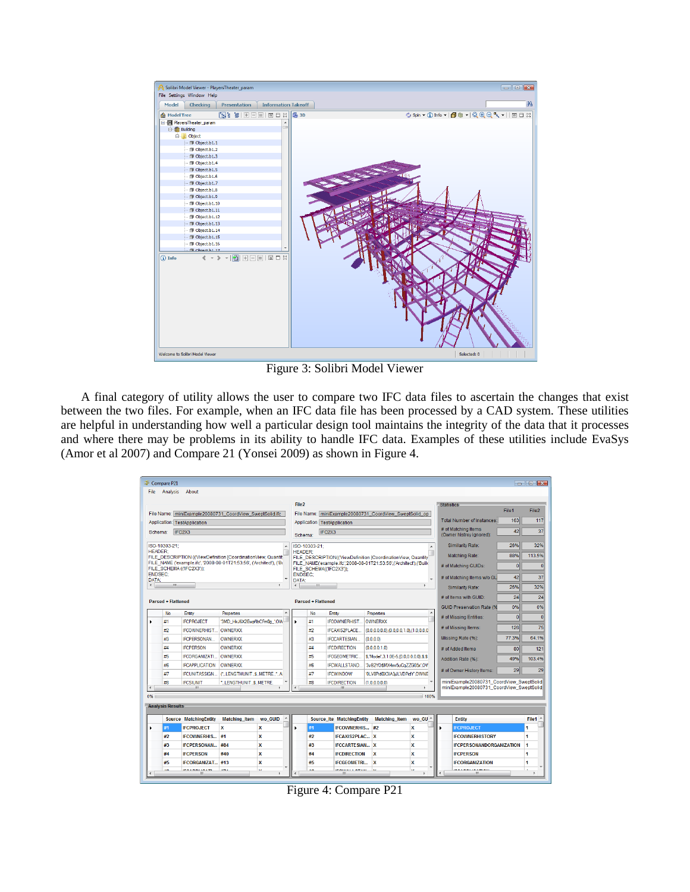| Oc Solibri Model Viewer - Players Theater_param                 | $\blacksquare$ $\blacksquare$ $\blacksquare$                                                                                                                                                                                                    |
|-----------------------------------------------------------------|-------------------------------------------------------------------------------------------------------------------------------------------------------------------------------------------------------------------------------------------------|
| File Settings Window Help                                       |                                                                                                                                                                                                                                                 |
| <b>Information Takeoff</b><br>Model<br>Checking<br>Presentation | 船                                                                                                                                                                                                                                               |
| <b>偷 Model Tree</b>                                             | $\circledcirc$ Spin $\bullet$ (j) Info $\bullet$   $\circledcirc$ (h) $\bullet$ $\bullet$   $\circledcirc$ $\circledcirc$ $\bullet$ $\bullet$     $\circledcirc$ $\circledcirc$ $\bullet$ $\bullet$     $\circledcirc$ $\circledcirc$ $\bullet$ |
| 日 <b>N</b> PlayersTheater_param                                 |                                                                                                                                                                                                                                                 |
| <b>Building</b>                                                 |                                                                                                                                                                                                                                                 |
| <b>B</b> Object                                                 |                                                                                                                                                                                                                                                 |
| Object.b1.1                                                     |                                                                                                                                                                                                                                                 |
| Object.b1.2                                                     |                                                                                                                                                                                                                                                 |
| Object.b1.3                                                     |                                                                                                                                                                                                                                                 |
| Object.b1.4                                                     |                                                                                                                                                                                                                                                 |
| Object.b1.5                                                     |                                                                                                                                                                                                                                                 |
| Object.b1.6                                                     |                                                                                                                                                                                                                                                 |
| Object.b1.7                                                     |                                                                                                                                                                                                                                                 |
| Object.b1.8                                                     |                                                                                                                                                                                                                                                 |
| Object.b1.9                                                     |                                                                                                                                                                                                                                                 |
| Object.b1.10                                                    |                                                                                                                                                                                                                                                 |
| Object.b1.11                                                    |                                                                                                                                                                                                                                                 |
| Object.b1.12                                                    |                                                                                                                                                                                                                                                 |
| Object.b1.13                                                    |                                                                                                                                                                                                                                                 |
| Object.b1.14                                                    |                                                                                                                                                                                                                                                 |
| Object.b1.15                                                    |                                                                                                                                                                                                                                                 |
| Object.b1.16                                                    |                                                                                                                                                                                                                                                 |
| Chiert ht. 17                                                   |                                                                                                                                                                                                                                                 |
| (i) Info                                                        |                                                                                                                                                                                                                                                 |
| Welcome to Solibri Model Viewer                                 | Selected: 0                                                                                                                                                                                                                                     |

Figure 3: Solibri Model Viewer

A final category of utility allows the user to compare two IFC data files to ascertain the changes that exist between the two files. For example, when an IFC data file has been processed by a CAD system. These utilities are helpful in understanding how well a particular design tool maintains the integrity of the data that it processes and where there may be problems in its ability to handle IFC data. Examples of these utilities include EvaSys (Amor et al 2007) and Compare 21 (Yonsei 2009) as shown in Figure 4.

|                                | Compare P21                                             |                              |                                                                      |         |                                                                                                                                                                     |                                                                                 |                                                                     |                                                     |                                                       |                                            |                | $\Box$ $\Box$ $\mathbf{x}$ |
|--------------------------------|---------------------------------------------------------|------------------------------|----------------------------------------------------------------------|---------|---------------------------------------------------------------------------------------------------------------------------------------------------------------------|---------------------------------------------------------------------------------|---------------------------------------------------------------------|-----------------------------------------------------|-------------------------------------------------------|--------------------------------------------|----------------|----------------------------|
| File                           | <b>Analysis</b>                                         | About                        |                                                                      |         |                                                                                                                                                                     |                                                                                 |                                                                     |                                                     |                                                       |                                            |                |                            |
|                                |                                                         |                              |                                                                      |         | File <sub>2</sub>                                                                                                                                                   |                                                                                 |                                                                     |                                                     |                                                       | Statistics                                 |                |                            |
|                                | File Name: miniExample20080731 CoordView SweptSolid.ifc |                              |                                                                      |         | File Name: miniExample20080731 CoordView SweptSolid op                                                                                                              |                                                                                 |                                                                     |                                                     |                                                       |                                            | File1          | File2                      |
| Application: TestApplication   |                                                         |                              |                                                                      |         | Application TestApplication                                                                                                                                         |                                                                                 |                                                                     | <b>Total Number of Instances:</b>                   | 163                                                   | 117                                        |                |                            |
|                                | IFC2X3<br>Schema:                                       |                              |                                                                      |         | Schema:                                                                                                                                                             |                                                                                 | IFC <sub>2</sub> X <sub>3</sub>                                     |                                                     | # of Matching Items<br>42<br>(Owner histrov ignored): |                                            | 37             |                            |
|                                | ISO-10303-21:                                           |                              |                                                                      |         | ISO-10303-21:<br>$\blacktriangle$                                                                                                                                   |                                                                                 |                                                                     |                                                     | <b>Similarity Rate:</b>                               | 26%                                        | 32%            |                            |
|                                | <b>HEADER:</b>                                          |                              | FILE_DESCRIPTION (('ViewDefinition [CoordinationView, Quantit        |         |                                                                                                                                                                     | <b>HEADER:</b><br>FILE_DESCRIPTION(('ViewDefinition [CoordinationView, Quantity |                                                                     |                                                     |                                                       | <b>Matching Rate:</b>                      | 88%            | 113.5%                     |
|                                |                                                         | FILE SCHEMA (('IFC2X3')):    | FILE NAME ('example.ifc', '2008-08-01T21:53:56', ('Architect'), ('Bt |         |                                                                                                                                                                     |                                                                                 | FILE NAME('example.ifc','2008-08-01T21:53:56',('Architect'),('Build |                                                     |                                                       | # of Matching GUIDs:                       | $\overline{0}$ | $\mathbf{0}$               |
|                                | <b>ENDSEC:</b>                                          |                              |                                                                      |         | <b>ENDSEC:</b>                                                                                                                                                      |                                                                                 | FILE SCHEMA((IFC2X3'));                                             |                                                     |                                                       | # of Matching Items w/o GU                 | 42             | 37                         |
| <b>DATA:</b><br>$\overline{a}$ | m.                                                      |                              |                                                                      |         | <b>DATA:</b>                                                                                                                                                        | m.                                                                              |                                                                     |                                                     |                                                       |                                            | 26%            | 32%                        |
|                                |                                                         |                              |                                                                      |         |                                                                                                                                                                     |                                                                                 |                                                                     |                                                     |                                                       | Similarity Rate:                           |                |                            |
|                                | <b>Parsed + Flattened</b>                               |                              |                                                                      |         |                                                                                                                                                                     | <b>Parsed + Flattened</b>                                                       |                                                                     |                                                     |                                                       | # of Items with GUID:                      | 24             | 24                         |
|                                | <b>No</b>                                               | Entity                       | Properties                                                           |         |                                                                                                                                                                     | No                                                                              | Entity                                                              | Properties                                          |                                                       | <b>GUID Preservation Rate (%</b>           | 0%             | 0%                         |
|                                | #1                                                      | <b>IFCPROJECT</b>            | '3MD HkJ6X2EwpflbCFm0g ',OW-                                         |         |                                                                                                                                                                     | #1                                                                              | <b>IFCOWNERHIST</b>                                                 | <b>OWNERXX</b>                                      |                                                       | # of Missing Entities:                     | $\overline{0}$ | $\Omega$                   |
|                                | #2                                                      | <b>IFCOWNERHIST</b>          | OWNERXX                                                              |         |                                                                                                                                                                     | #2                                                                              | IFCAXIS2PLACE                                                       | $(0.0, 0.0, 0.0), (0.0, 0.0, 1.0), (1.0, 0.0, 0.0)$ |                                                       | # of Missing Items:                        | 126            | 75                         |
|                                | #3                                                      | <b>IFCPERSONAN</b>           | <b>OWNERXX</b>                                                       |         |                                                                                                                                                                     | #3                                                                              | <b>IFCCARTESIAN</b>                                                 | (0.0.0.0)                                           |                                                       | Missing Rate (%):                          | 77.3%          | 64.1%                      |
|                                | #4                                                      | <b>IFCPERSON</b>             | <b>OWNERXX</b>                                                       |         |                                                                                                                                                                     | #4                                                                              | <b>IFCDIRECTION</b>                                                 | (0.0, 0.0, 1.0)                                     |                                                       | # of Added Items                           | 80             | 121                        |
|                                | #5                                                      | <b>IFCORGANIZATI</b>         | <b>OWNERXX</b>                                                       |         |                                                                                                                                                                     | #5                                                                              | <b>IFCGEOMETRIC</b>                                                 | \$,'Model',3,1.0E-5,(0.0,0.0,0.0),\$,\$             |                                                       | Addition Rate (%):                         | 49%            | 103.4%                     |
|                                | #6                                                      | <b>IFCAPPLICATION</b>        | <b>OWNERXX</b>                                                       |         |                                                                                                                                                                     | #6                                                                              | <b>IFCWALLSTAND</b>                                                 | '3vB2YO\$MX4xv5uCqZZG05x',OV                        |                                                       | # of Owner History Items:                  | 29             | 29                         |
|                                | #7                                                      | <b>IFCUNITASSIGN</b>         | ("LENGTHUNITSMETRE*.A                                                |         |                                                                                                                                                                     | #7                                                                              | <b>IFCWINDOW</b>                                                    | '0LV8Pid0X3IA3jJLVDPidY',OWNE                       |                                                       |                                            |                |                            |
|                                | #8                                                      | <b>IFCSIUNIT</b><br>ш        | *LENGTHUNITSMETRE.                                                   |         | miniExample20080731 CoordView SweptSolid<br>$\overline{\phantom{a}}$<br>#8<br><b>IFCDIRECTION</b><br>(1.0.0.0.0.0)<br>miniExample20080731 CoordView SweptSolid<br>Ш |                                                                                 |                                                                     |                                                     |                                                       |                                            |                |                            |
| 0%                             |                                                         |                              |                                                                      |         |                                                                                                                                                                     |                                                                                 |                                                                     |                                                     | 100%                                                  |                                            |                |                            |
|                                | <b>Analysis Results</b>                                 |                              |                                                                      |         |                                                                                                                                                                     |                                                                                 |                                                                     |                                                     |                                                       |                                            |                |                            |
|                                |                                                         | <b>Source MatchingEntity</b> | <b>Matching Item</b>                                                 | wo GUID |                                                                                                                                                                     |                                                                                 | <b>Source Ite MatchingEntity</b>                                    | <b>Matching Item</b>                                | wo GU ^                                               | <b>Entity</b>                              |                | File1                      |
|                                | #1                                                      | <b>IFCPROJECT</b>            | x                                                                    | X       |                                                                                                                                                                     | #1                                                                              | <b>IFCOWNERHIS</b>                                                  | #2                                                  | x                                                     | $\blacktriangleright$<br><b>IFCPROJECT</b> |                |                            |
|                                | #2                                                      | <b>IFCOWNERHIS</b>           | #1                                                                   | X       |                                                                                                                                                                     | #2                                                                              | <b>IFCAXIS2PLAC X</b>                                               |                                                     | x                                                     | <b>IFCOWNERHISTORY</b>                     |                | 4                          |
|                                | #3                                                      | <b>IFCPERSONAN #84</b>       |                                                                      | x       |                                                                                                                                                                     | #3                                                                              | <b>IFCCARTESIAN</b> X                                               |                                                     | x                                                     | <b>IFCPERSONANDORGANIZATION</b>            |                | 1                          |
|                                | #4                                                      | <b>IFCPERSON</b>             | #40                                                                  | X       |                                                                                                                                                                     | #4                                                                              | <b>IFCDIRECTION</b>                                                 | x                                                   | X                                                     | <b>IFCPERSON</b>                           |                | 1                          |
|                                | #5                                                      | IFCORGANIZAT #13             |                                                                      | X       |                                                                                                                                                                     | #5                                                                              | <b>IFCGEOMETRI</b>                                                  | x                                                   | x                                                     | <b>IFCORGANIZATION</b>                     |                | 1                          |
|                                |                                                         | 1001001001<br>-m             | $-1$                                                                 |         |                                                                                                                                                                     |                                                                                 | <b><i><u>PALLELLE ATELL</u></i></b><br>m                            |                                                     |                                                       | Ш                                          |                |                            |

Figure 4: Compare P21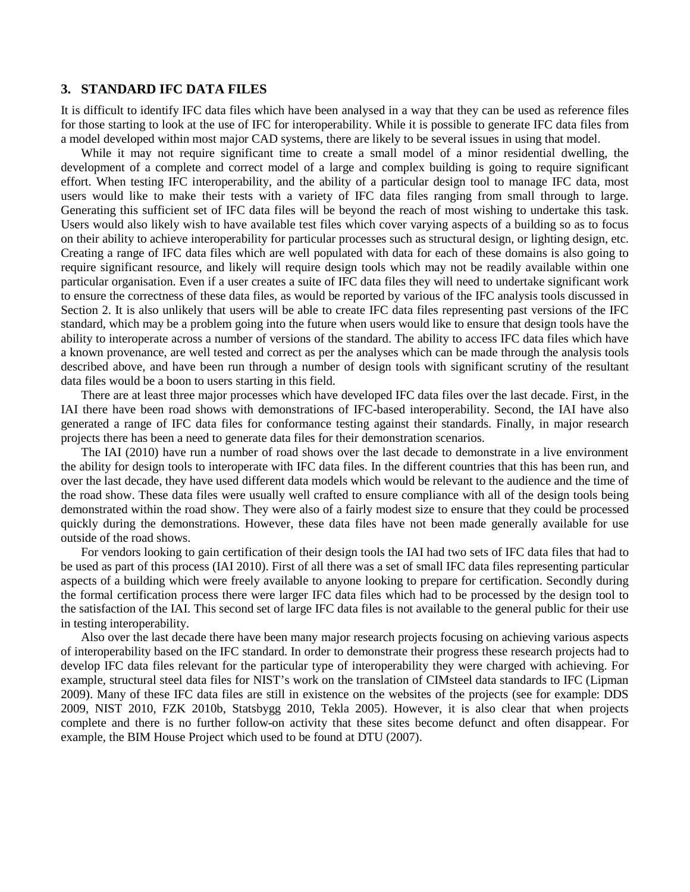#### **3. STANDARD IFC DATA FILES**

It is difficult to identify IFC data files which have been analysed in a way that they can be used as reference files for those starting to look at the use of IFC for interoperability. While it is possible to generate IFC data files from a model developed within most major CAD systems, there are likely to be several issues in using that model.

While it may not require significant time to create a small model of a minor residential dwelling, the development of a complete and correct model of a large and complex building is going to require significant effort. When testing IFC interoperability, and the ability of a particular design tool to manage IFC data, most users would like to make their tests with a variety of IFC data files ranging from small through to large. Generating this sufficient set of IFC data files will be beyond the reach of most wishing to undertake this task. Users would also likely wish to have available test files which cover varying aspects of a building so as to focus on their ability to achieve interoperability for particular processes such as structural design, or lighting design, etc. Creating a range of IFC data files which are well populated with data for each of these domains is also going to require significant resource, and likely will require design tools which may not be readily available within one particular organisation. Even if a user creates a suite of IFC data files they will need to undertake significant work to ensure the correctness of these data files, as would be reported by various of the IFC analysis tools discussed in Section 2. It is also unlikely that users will be able to create IFC data files representing past versions of the IFC standard, which may be a problem going into the future when users would like to ensure that design tools have the ability to interoperate across a number of versions of the standard. The ability to access IFC data files which have a known provenance, are well tested and correct as per the analyses which can be made through the analysis tools described above, and have been run through a number of design tools with significant scrutiny of the resultant data files would be a boon to users starting in this field.

There are at least three major processes which have developed IFC data files over the last decade. First, in the IAI there have been road shows with demonstrations of IFC-based interoperability. Second, the IAI have also generated a range of IFC data files for conformance testing against their standards. Finally, in major research projects there has been a need to generate data files for their demonstration scenarios.

The IAI (2010) have run a number of road shows over the last decade to demonstrate in a live environment the ability for design tools to interoperate with IFC data files. In the different countries that this has been run, and over the last decade, they have used different data models which would be relevant to the audience and the time of the road show. These data files were usually well crafted to ensure compliance with all of the design tools being demonstrated within the road show. They were also of a fairly modest size to ensure that they could be processed quickly during the demonstrations. However, these data files have not been made generally available for use outside of the road shows.

For vendors looking to gain certification of their design tools the IAI had two sets of IFC data files that had to be used as part of this process (IAI 2010). First of all there was a set of small IFC data files representing particular aspects of a building which were freely available to anyone looking to prepare for certification. Secondly during the formal certification process there were larger IFC data files which had to be processed by the design tool to the satisfaction of the IAI. This second set of large IFC data files is not available to the general public for their use in testing interoperability.

Also over the last decade there have been many major research projects focusing on achieving various aspects of interoperability based on the IFC standard. In order to demonstrate their progress these research projects had to develop IFC data files relevant for the particular type of interoperability they were charged with achieving. For example, structural steel data files for NIST's work on the translation of CIMsteel data standards to IFC (Lipman 2009). Many of these IFC data files are still in existence on the websites of the projects (see for example: DDS 2009, NIST 2010, FZK 2010b, Statsbygg 2010, Tekla 2005). However, it is also clear that when projects complete and there is no further follow-on activity that these sites become defunct and often disappear. For example, the BIM House Project which used to be found at DTU (2007).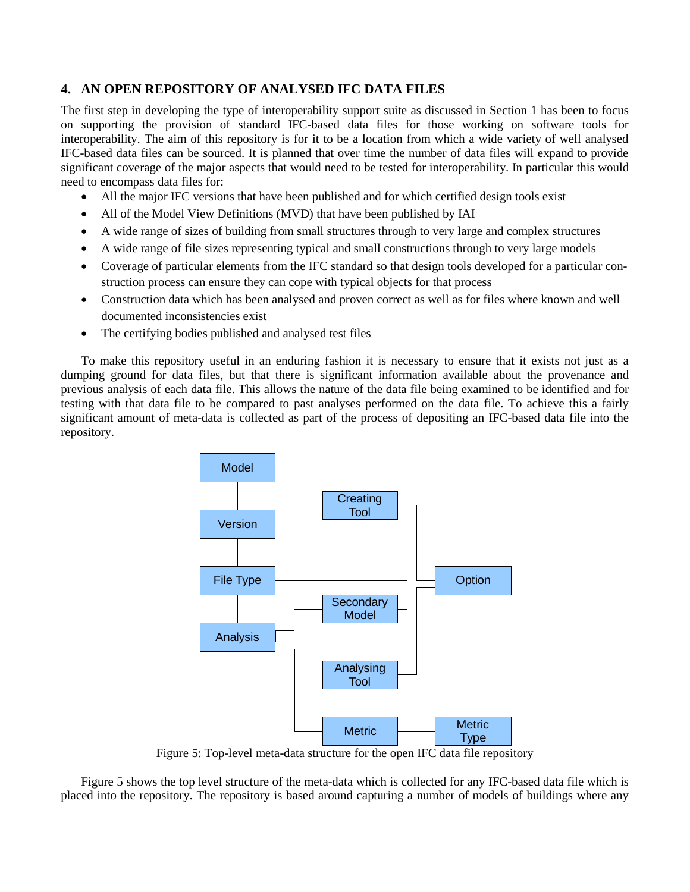## **4. AN OPEN REPOSITORY OF ANALYSED IFC DATA FILES**

The first step in developing the type of interoperability support suite as discussed in Section 1 has been to focus on supporting the provision of standard IFC-based data files for those working on software tools for interoperability. The aim of this repository is for it to be a location from which a wide variety of well analysed IFC-based data files can be sourced. It is planned that over time the number of data files will expand to provide significant coverage of the major aspects that would need to be tested for interoperability. In particular this would need to encompass data files for:

- All the major IFC versions that have been published and for which certified design tools exist
- All of the Model View Definitions (MVD) that have been published by IAI
- A wide range of sizes of building from small structures through to very large and complex structures
- A wide range of file sizes representing typical and small constructions through to very large models
- Coverage of particular elements from the IFC standard so that design tools developed for a particular construction process can ensure they can cope with typical objects for that process
- Construction data which has been analysed and proven correct as well as for files where known and well documented inconsistencies exist
- The certifying bodies published and analysed test files

To make this repository useful in an enduring fashion it is necessary to ensure that it exists not just as a dumping ground for data files, but that there is significant information available about the provenance and previous analysis of each data file. This allows the nature of the data file being examined to be identified and for testing with that data file to be compared to past analyses performed on the data file. To achieve this a fairly significant amount of meta-data is collected as part of the process of depositing an IFC-based data file into the repository.



Figure 5: Top-level meta-data structure for the open IFC data file repository

Figure 5 shows the top level structure of the meta-data which is collected for any IFC-based data file which is placed into the repository. The repository is based around capturing a number of models of buildings where any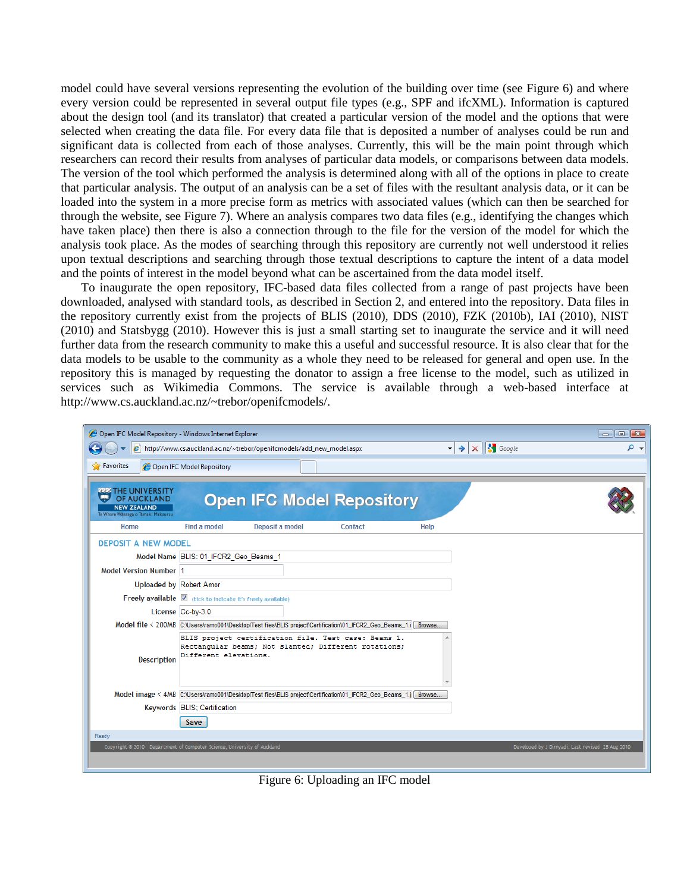model could have several versions representing the evolution of the building over time (see Figure 6) and where every version could be represented in several output file types (e.g., SPF and ifcXML). Information is captured about the design tool (and its translator) that created a particular version of the model and the options that were selected when creating the data file. For every data file that is deposited a number of analyses could be run and significant data is collected from each of those analyses. Currently, this will be the main point through which researchers can record their results from analyses of particular data models, or comparisons between data models. The version of the tool which performed the analysis is determined along with all of the options in place to create that particular analysis. The output of an analysis can be a set of files with the resultant analysis data, or it can be loaded into the system in a more precise form as metrics with associated values (which can then be searched for through the website, see Figure 7). Where an analysis compares two data files (e.g., identifying the changes which have taken place) then there is also a connection through to the file for the version of the model for which the analysis took place. As the modes of searching through this repository are currently not well understood it relies upon textual descriptions and searching through those textual descriptions to capture the intent of a data model and the points of interest in the model beyond what can be ascertained from the data model itself.

To inaugurate the open repository, IFC-based data files collected from a range of past projects have been downloaded, analysed with standard tools, as described in Section 2, and entered into the repository. Data files in the repository currently exist from the projects of BLIS (2010), DDS (2010), FZK (2010b), IAI (2010), NIST (2010) and Statsbygg (2010). However this is just a small starting set to inaugurate the service and it will need further data from the research community to make this a useful and successful resource. It is also clear that for the data models to be usable to the community as a whole they need to be released for general and open use. In the repository this is managed by requesting the donator to assign a free license to the model, such as utilized in services such as Wikimedia Commons. The service is available through a web-based interface at http://www.cs.auckland.ac.nz/~trebor/openifcmodels/.

| Open IFC Model Repository - Windows Internet Explorer<br>$  x$                                                                                  |                                                             |                                                                                                                  |                |             |                                                  |  |  |
|-------------------------------------------------------------------------------------------------------------------------------------------------|-------------------------------------------------------------|------------------------------------------------------------------------------------------------------------------|----------------|-------------|--------------------------------------------------|--|--|
| $\mathbf{X} \parallel \mathbf{S}$ Google<br>۔ م<br>http://www.cs.auckland.ac.nz/~trebor/openifcmodels/add_new_model.aspx<br>e<br>$\blacksquare$ |                                                             |                                                                                                                  |                |             |                                                  |  |  |
| Favorites<br>Open IFC Model Repository                                                                                                          |                                                             |                                                                                                                  |                |             |                                                  |  |  |
|                                                                                                                                                 |                                                             |                                                                                                                  |                |             |                                                  |  |  |
| <b>222 THE UNIVERSITY</b><br><b>OF AUCKLAND</b>                                                                                                 |                                                             | <b>Open IFC Model Repository</b>                                                                                 |                |             |                                                  |  |  |
| <b>NEW ZEALAND</b><br>Te Whare Wänanga o Tâmaki Makaurau                                                                                        |                                                             |                                                                                                                  |                |             |                                                  |  |  |
| Home                                                                                                                                            | <b>Find a model</b>                                         | Deposit a model                                                                                                  | <b>Contact</b> | <b>Help</b> |                                                  |  |  |
| <b>DEPOSIT A NEW MODEL</b>                                                                                                                      |                                                             |                                                                                                                  |                |             |                                                  |  |  |
|                                                                                                                                                 | Model Name BLIS: 01 IFCR2 Geo Beams 1                       |                                                                                                                  |                |             |                                                  |  |  |
| <b>Model Version Number 1</b>                                                                                                                   |                                                             |                                                                                                                  |                |             |                                                  |  |  |
| <b>Uploaded by Robert Amor</b>                                                                                                                  |                                                             |                                                                                                                  |                |             |                                                  |  |  |
|                                                                                                                                                 | Freely available V (tick to indicate it's freely available) |                                                                                                                  |                |             |                                                  |  |  |
|                                                                                                                                                 | License Cc-by-3.0                                           |                                                                                                                  |                |             |                                                  |  |  |
|                                                                                                                                                 |                                                             | Model file < 200MB C:\Users\ramo001\Desktop\Test files\BLIS project\Certification\01_IFCR2_Geo_Beams_1.i Browse  |                |             |                                                  |  |  |
|                                                                                                                                                 |                                                             | BLIS project certification file. Test case: Beams 1.                                                             |                |             |                                                  |  |  |
| <b>Description</b>                                                                                                                              | Different elevations.                                       | Rectangular beams; Not slanted; Different rotations;                                                             |                |             |                                                  |  |  |
|                                                                                                                                                 |                                                             |                                                                                                                  |                |             |                                                  |  |  |
|                                                                                                                                                 |                                                             |                                                                                                                  |                |             |                                                  |  |  |
|                                                                                                                                                 |                                                             | Model image < 4MB C:\Users\ramo001\Desktop\Test files\BLIS project\Certification\01_IFCR2_Geo_Beams_1.j   Browse |                |             |                                                  |  |  |
|                                                                                                                                                 | Keywords BLIS; Certification                                |                                                                                                                  |                |             |                                                  |  |  |
|                                                                                                                                                 | Save                                                        |                                                                                                                  |                |             |                                                  |  |  |
| Ready                                                                                                                                           |                                                             |                                                                                                                  |                |             |                                                  |  |  |
| Copyright @ 2010 Department of Computer Science, University of Auckland                                                                         |                                                             |                                                                                                                  |                |             | Developed by J Dimyadi. Last revised 25 Aug 2010 |  |  |
|                                                                                                                                                 |                                                             |                                                                                                                  |                |             |                                                  |  |  |

Figure 6: Uploading an IFC model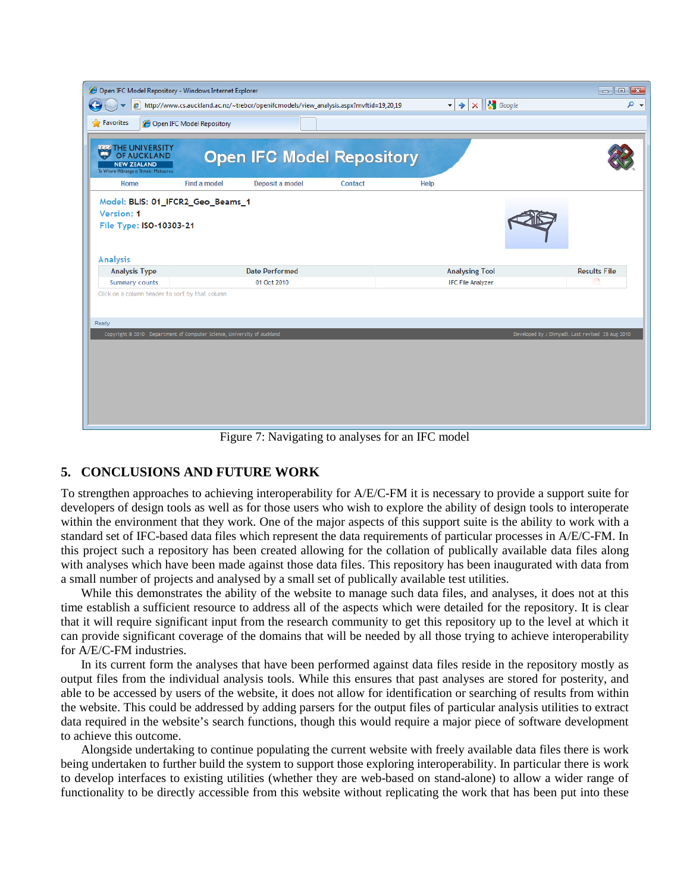| Open IFC Model Repository - Windows Internet Explorer<br>$  \sqrt{x}$                                                                   |                     |                                  |                |             |                          |                                                  |  |
|-----------------------------------------------------------------------------------------------------------------------------------------|---------------------|----------------------------------|----------------|-------------|--------------------------|--------------------------------------------------|--|
| $\times$ $\mathbf{S}$ Google<br>۔ م<br>$e$ http://www.cs.auckland.ac.nz/~trebor/openifcmodels/view_analysis.aspx?mvftid=19,20,19<br>- ⇒ |                     |                                  |                |             |                          |                                                  |  |
| <b>P</b> Favorites<br>Open IFC Model Repository                                                                                         |                     |                                  |                |             |                          |                                                  |  |
| <b>222 THE UNIVERSITY</b><br>OF AUCKLAND<br><b>NEW ZEALAND</b><br>Te Whare Wananga o Tamaki Makaurau                                    |                     | <b>Open IFC Model Repository</b> |                |             |                          |                                                  |  |
| Home                                                                                                                                    | <b>Find a model</b> | Deposit a model                  | <b>Contact</b> | <b>Help</b> |                          |                                                  |  |
| Model: BLIS: 01_IFCR2_Geo_Beams_1<br>Version: 1<br>File Type: ISO-10303-21<br><b>Analysis</b>                                           |                     |                                  |                |             |                          |                                                  |  |
| <b>Analysis Type</b>                                                                                                                    |                     | <b>Date Performed</b>            |                |             | <b>Analysing Tool</b>    | <b>Results File</b>                              |  |
| <b>Summary counts</b>                                                                                                                   |                     | 01 Oct 2010                      |                |             | <b>IFC File Analyzer</b> | n,                                               |  |
| Click on a column header to sort by that column<br>Ready                                                                                |                     |                                  |                |             |                          |                                                  |  |
| Copyright @ 2010 Department of Computer Science, University of Auckland                                                                 |                     |                                  |                |             |                          | Developed by J Dimyadi. Last revised 25 Aug 2010 |  |

Figure 7: Navigating to analyses for an IFC model

### **5. CONCLUSIONS AND FUTURE WORK**

To strengthen approaches to achieving interoperability for A/E/C-FM it is necessary to provide a support suite for developers of design tools as well as for those users who wish to explore the ability of design tools to interoperate within the environment that they work. One of the major aspects of this support suite is the ability to work with a standard set of IFC-based data files which represent the data requirements of particular processes in A/E/C-FM. In this project such a repository has been created allowing for the collation of publically available data files along with analyses which have been made against those data files. This repository has been inaugurated with data from a small number of projects and analysed by a small set of publically available test utilities.

While this demonstrates the ability of the website to manage such data files, and analyses, it does not at this time establish a sufficient resource to address all of the aspects which were detailed for the repository. It is clear that it will require significant input from the research community to get this repository up to the level at which it can provide significant coverage of the domains that will be needed by all those trying to achieve interoperability for A/E/C-FM industries.

In its current form the analyses that have been performed against data files reside in the repository mostly as output files from the individual analysis tools. While this ensures that past analyses are stored for posterity, and able to be accessed by users of the website, it does not allow for identification or searching of results from within the website. This could be addressed by adding parsers for the output files of particular analysis utilities to extract data required in the website's search functions, though this would require a major piece of software development to achieve this outcome.

Alongside undertaking to continue populating the current website with freely available data files there is work being undertaken to further build the system to support those exploring interoperability. In particular there is work to develop interfaces to existing utilities (whether they are web-based on stand-alone) to allow a wider range of functionality to be directly accessible from this website without replicating the work that has been put into these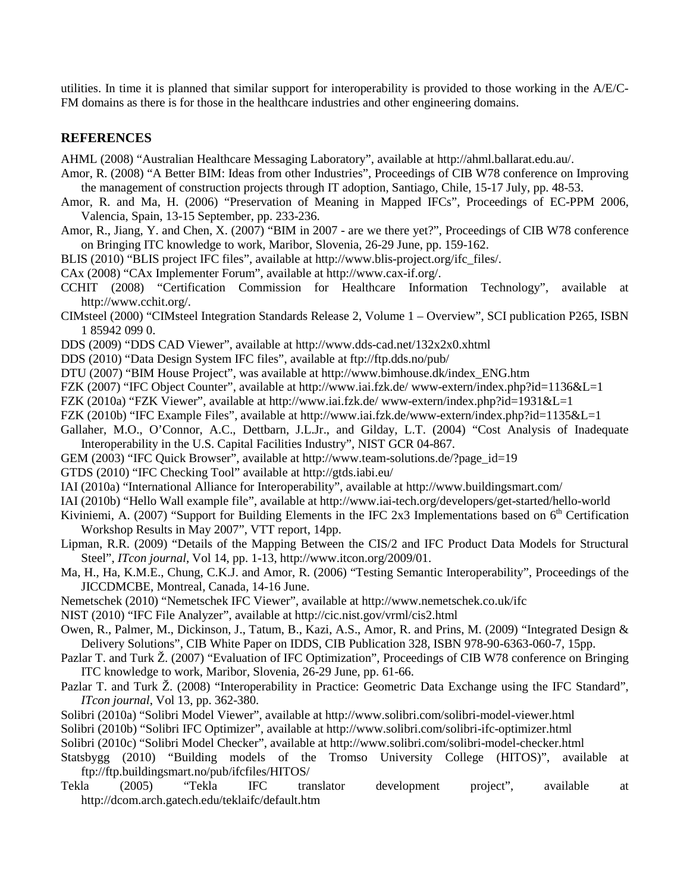utilities. In time it is planned that similar support for interoperability is provided to those working in the A/E/C-FM domains as there is for those in the healthcare industries and other engineering domains.

#### **REFERENCES**

AHML (2008) "Australian Healthcare Messaging Laboratory", available at [http://ahml.ballarat.edu.au/.](http://ahml.ballarat.edu.au/)

- Amor, R. (2008) "A Better BIM: Ideas from other Industries", Proceedings of CIB W78 conference on Improving the management of construction projects through IT adoption, Santiago, Chile, 15-17 July, pp. 48-53.
- Amor, R. and Ma, H. (2006) "Preservation of Meaning in Mapped IFCs", Proceedings of EC-PPM 2006, Valencia, Spain, 13-15 September, pp. 233-236.
- Amor, R., Jiang, Y. and Chen, X. (2007) "BIM in 2007 are we there yet?", Proceedings of CIB W78 conference on Bringing ITC knowledge to work, Maribor, Slovenia, 26-29 June, pp. 159-162.

BLIS (2010) "BLIS project IFC files", available at http://www.blis-project.org/ifc\_files/.

CAx (2008) "CAx Implementer Forum", available at http://www.cax-if.org/.

- CCHIT (2008) "Certification Commission for Healthcare Information Technology", available at [http://www.cchit.org/.](http://www.cchit.org/)
- CIMsteel (2000) "CIMsteel Integration Standards Release 2, Volume 1 Overview", SCI publication P265, ISBN 1 85942 099 0.
- DDS (2009) "DDS CAD Viewer", available at http://www.dds-cad.net/132x2x0.xhtml

DDS (2010) "Data Design System IFC files", available at ftp://ftp.dds.no/pub/

- DTU (2007) "BIM House Project", was available at http://www.bimhouse.dk/index\_ENG.htm
- FZK (2007) "IFC Object Counter", available at http://www.iai.fzk.de/ www-extern/index.php?id=1136&L=1
- FZK (2010a) "FZK Viewer", available at http://www.iai.fzk.de/ www-extern/index.php?id=1931&L=1
- FZK (2010b) "IFC Example Files", available at http://www.iai.fzk.de/www-extern/index.php?id=1135&L=1
- Gallaher, M.O., O'Connor, A.C., Dettbarn, J.L.Jr., and Gilday, L.T. (2004) "Cost Analysis of Inadequate Interoperability in the U.S. Capital Facilities Industry", NIST GCR 04-867.
- GEM (2003) "IFC Quick Browser", available at http://www.team-solutions.de/?page\_id=19
- GTDS (2010) "IFC Checking Tool" available at http://gtds.iabi.eu/
- IAI (2010a) "International Alliance for Interoperability", available at http://www.buildingsmart.com/
- IAI (2010b) "Hello Wall example file", available at http://www.iai-tech.org/developers/get-started/hello-world
- Kiviniemi, A. (2007) "Support for Building Elements in the IFC 2x3 Implementations based on  $6<sup>th</sup>$  Certification Workshop Results in May 2007", VTT report, 14pp.
- Lipman, R.R. (2009) "Details of the Mapping Between the CIS/2 and IFC Product Data Models for Structural Steel", *ITcon journal*, Vol 14, pp. 1-13, http://www.itcon.org/2009/01.
- Ma, H., Ha, K.M.E., Chung, C.K.J. and Amor, R. (2006) "Testing Semantic Interoperability", Proceedings of the JICCDMCBE, Montreal, Canada, 14-16 June.
- Nemetschek (2010) "Nemetschek IFC Viewer", available at http://www.nemetschek.co.uk/ifc
- NIST (2010) "IFC File Analyzer", available at http://cic.nist.gov/vrml/cis2.html
- Owen, R., Palmer, M., Dickinson, J., Tatum, B., Kazi, A.S., Amor, R. and Prins, M. (2009) "Integrated Design & Delivery Solutions", CIB White Paper on IDDS, CIB Publication 328, ISBN 978-90-6363-060-7, 15pp.
- Pazlar T. and Turk Ž. (2007) "Evaluation of IFC Optimization", Proceedings of CIB W78 conference on Bringing ITC knowledge to work, Maribor, Slovenia, 26-29 June, pp. 61-66.
- Pazlar T. and Turk Ž. (2008) "Interoperability in Practice: Geometric Data Exchange using the IFC Standard", *ITcon journal*, Vol 13, pp. 362-380.
- Solibri (2010a) "Solibri Model Viewer", available at http://www.solibri.com/solibri-model-viewer.html
- Solibri (2010b) "Solibri IFC Optimizer", available at http://www.solibri.com/solibri-ifc-optimizer.html
- Solibri (2010c) "Solibri Model Checker", available at http://www.solibri.com/solibri-model-checker.html
- Statsbygg (2010) "Building models of the Tromso University College (HITOS)", available at ftp://ftp.buildingsmart.no/pub/ifcfiles/HITOS/
- Tekla (2005) "Tekla IFC translator development project", available at http://dcom.arch.gatech.edu/teklaifc/default.htm